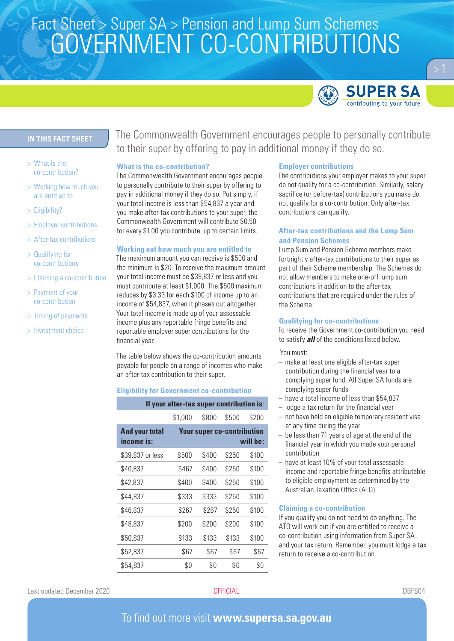# Fact Sheet > Super SA > Pension and Lump Sum Schemes<br>COMEDNIN AFNIT CO CONITDIDI ITIONIC GOVERNMENT CO-CONTRIBUTIONS



# **IN THIS FACT SHEET**

- > What is the co-contribution?
- > Working how much you are entitled to
- > Eligibility?
- > Employer contributions
- > After-tax contributions
- > Qualifying for co-contributions
- > Claiming a co-contribution
- > Payment of your co-contribution
- > Timing of payments
- > Investment choice

The Commonwealth Government encourages people to personally contribute to their super by offering to pay in additional money if they do so.

# **What is the co-contribution?**

The Commonwealth Government encourages people to personally contribute to their super by offering to pay in additional money if they do so. Put simply, if your total income is less than \$54,837 a year and you make after-tax contributions to your super, the Commonwealth Government will contribute \$0.50 for every \$1.00 you contribute, up to certain limits.

#### **Working out how much you are entitled to**

The maximum amount you can receive is \$500 and the minimum is \$20. To receive the maximum amount your total income must be \$39,837 or less and you must contribute at least \$1,000. The \$500 maximum reduces by \$3.33 for each \$100 of income up to an income of \$54,837, when it phases out altogether. Your total income is made up of your assessable income plus any reportable fringe benefits and reportable employer super contributions for the financial year.

The table below shows the co-contribution amounts payable for people on a range of incomes who make an after-tax contribution to their super.

#### **Eligibility for Government co-contribution**

| If your after-tax super contribution is: |                                               |       |       |       |
|------------------------------------------|-----------------------------------------------|-------|-------|-------|
|                                          | \$1,000                                       | \$800 | \$500 | \$200 |
| <b>And your total</b><br>income is:      | <b>Your super co-contribution</b><br>will be: |       |       |       |
| \$39,837 or less                         | \$500                                         | \$400 | \$250 | \$100 |
| \$40,837                                 | \$467                                         | \$400 | \$250 | \$100 |
| \$42.837                                 | \$400                                         | \$400 | \$250 | \$100 |
| \$44.837                                 | \$333                                         | \$333 | \$250 | \$100 |
| \$46,837                                 | \$267                                         | \$267 | \$250 | \$100 |
| \$48,837                                 | \$200                                         | \$200 | \$200 | \$100 |
| \$50,837                                 | \$133                                         | \$133 | \$133 | \$100 |
| \$52,837                                 | \$67                                          | \$67  | \$67  | \$67  |
| \$54.837                                 | \$0                                           | \$0   | \$0   | \$0   |

# **Employer contributions**

The contributions your employer makes to your super do not qualify for a co-contribution. Similarly, salary sacrifice (or before-tax) contributions you make do not qualify for a co-contribution. Only after-tax contributions can qualify.

# **After-tax contributions and the Lump Sum and Pension Schemes**

Lump Sum and Pension Scheme members make fortnightly after-tax contributions to their super as part of their Scheme membership. The Schemes do not allow members to make one-off lump sum contributions in addition to the after-tax contributions that are required under the rules of the Scheme.

### **Qualifying for co-contributions**

To receive the Government co-contribution you need to satisfy *all* of the conditions listed below.

You must:

- make at least one eligible after-tax super contribution during the financial year to a complying super fund. All Super SA funds are complying super funds
- have a total income of less than \$54,837
- lodge a tax return for the financial year
- not have held an eligible temporary resident visa at any time during the year
- be less than 71 years of age at the end of the financial year in which you made your personal contribution
- have at least 10% of your total assessable income and reportable fringe benefits attributable to eligible employment as determined by the Australian Taxation Office (ATO).

#### **Claiming a co-contribution**

If you qualify you do not need to do anything. The ATO will work out if you are entitled to receive a co-contribution using information from Super SA and your tax return. Remember, you must lodge a tax return to receive a co-contribution.

Last updated December 2020 OFFICIAL DBFS04